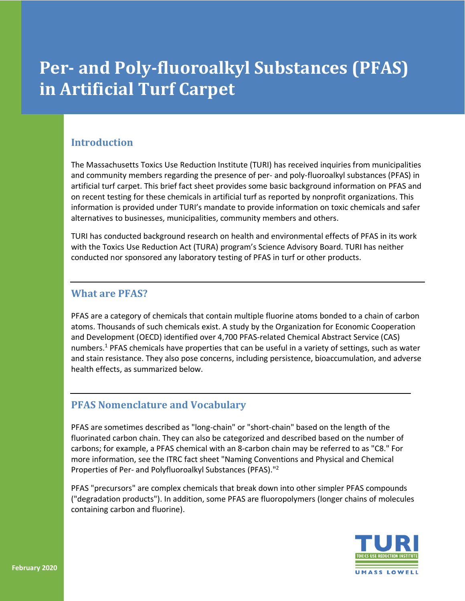# **Per- and Poly-fluoroalkyl Substances (PFAS) in Artificial Turf Carpet**

## **Introduction**

The Massachusetts Toxics Use Reduction Institute (TURI) has received inquiries from municipalities and community members regarding the presence of per- and poly-fluoroalkyl substances (PFAS) in artificial turf carpet. This brief fact sheet provides some basic background information on PFAS and on recent testing for these chemicals in artificial turf as reported by nonprofit organizations. This information is provided under TURI's mandate to provide information on toxic chemicals and safer alternatives to businesses, municipalities, community members and others.

TURI has conducted background research on health and environmental effects of PFAS in its work with the Toxics Use Reduction Act (TURA) program's Science Advisory Board. TURI has neither conducted nor sponsored any laboratory testing of PFAS in turf or other products.

### **What are PFAS?**

PFAS are a category of chemicals that contain multiple fluorine atoms bonded to a chain of carbon atoms. Thousands of such chemicals exist. A study by the Organization for Economic Cooperation and Development (OECD) identified over 4,700 PFAS-related Chemical Abstract Service (CAS) numbers.<sup>1</sup> PFAS chemicals have properties that can be useful in a variety of settings, such as water and stain resistance. They also pose concerns, including persistence, bioaccumulation, and adverse health effects, as summarized below.

## **PFAS Nomenclature and Vocabulary**

PFAS are sometimes described as "long-chain" or "short-chain" based on the length of the fluorinated carbon chain. They can also be categorized and described based on the number of carbons; for example, a PFAS chemical with an 8-carbon chain may be referred to as "C8." For more information, see the ITRC fact sheet "Naming Conventions and Physical and Chemical Properties of Per- and Polyfluoroalkyl Substances (PFAS)."2

PFAS "precursors" are complex chemicals that break down into other simpler PFAS compounds ("degradation products"). In addition, some PFAS are fluoropolymers (longer chains of molecules containing carbon and fluorine).

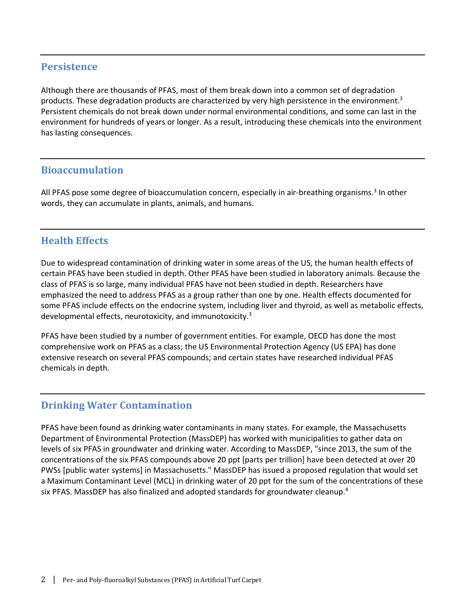### **Persistence**

Although there are thousands of PFAS, most of them break down into a common set of degradation products. These degradation products are characterized by very high persistence in the environment.<sup>3</sup> Persistent chemicals do not break down under normal environmental conditions, and some can last in the environment for hundreds of years or longer. As a result, introducing these chemicals into the environment has lasting consequences.

### **Bioaccumulation**

All PFAS pose some degree of bioaccumulation concern, especially in air-breathing organisms.<sup>3</sup> In other words, they can accumulate in plants, animals, and humans.

### **Health Effects**

Due to widespread contamination of drinking water in some areas of the US, the human health effects of certain PFAS have been studied in depth. Other PFAS have been studied in laboratory animals. Because the class of PFAS is so large, many individual PFAS have not been studied in depth. Researchers have emphasized the need to address PFAS as a group rather than one by one. Health effects documented for some PFAS include effects on the endocrine system, including liver and thyroid, as well as metabolic effects, developmental effects, neurotoxicity, and immunotoxicity.3

PFAS have been studied by a number of government entities. For example, OECD has done the most comprehensive work on PFAS as a class; the US Environmental Protection Agency (US EPA) has done extensive research on several PFAS compounds; and certain states have researched individual PFAS chemicals in depth.

### **Drinking Water Contamination**

PFAS have been found as drinking water contaminants in many states. For example, the Massachusetts Department of Environmental Protection (MassDEP) has worked with municipalities to gather data on levels of six PFAS in groundwater and drinking water. According to MassDEP, "since 2013, the sum of the concentrations of the six PFAS compounds above 20 ppt [parts per trillion] have been detected at over 20 PWSs [public water systems] in Massachusetts." MassDEP has issued a proposed regulation that would set a Maximum Contaminant Level (MCL) in drinking water of 20 ppt for the sum of the concentrations of these six PFAS. MassDEP has also finalized and adopted standards for groundwater cleanup.<sup>4</sup>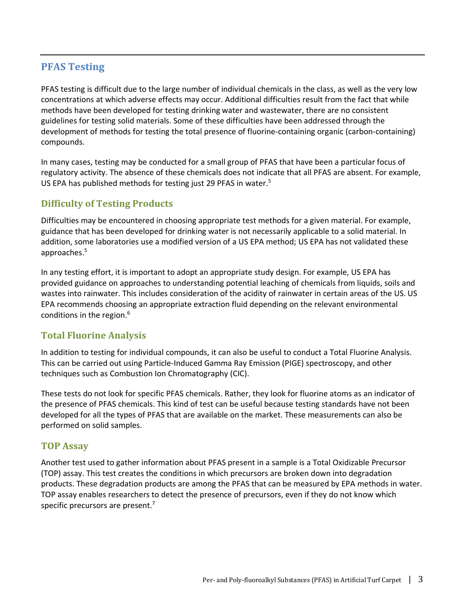## **PFAS Testing**

PFAS testing is difficult due to the large number of individual chemicals in the class, as well as the very low concentrations at which adverse effects may occur. Additional difficulties result from the fact that while methods have been developed for testing drinking water and wastewater, there are no consistent guidelines for testing solid materials. Some of these difficulties have been addressed through the development of methods for testing the total presence of fluorine-containing organic (carbon-containing) compounds.

In many cases, testing may be conducted for a small group of PFAS that have been a particular focus of regulatory activity. The absence of these chemicals does not indicate that all PFAS are absent. For example, US EPA has published methods for testing just 29 PFAS in water.<sup>5</sup>

## **Difficulty of Testing Products**

Difficulties may be encountered in choosing appropriate test methods for a given material. For example, guidance that has been developed for drinking water is not necessarily applicable to a solid material. In addition, some laboratories use a modified version of a US EPA method; US EPA has not validated these approaches.5

In any testing effort, it is important to adopt an appropriate study design. For example, US EPA has provided guidance on approaches to understanding potential leaching of chemicals from liquids, soils and wastes into rainwater. This includes consideration of the acidity of rainwater in certain areas of the US. US EPA recommends choosing an appropriate extraction fluid depending on the relevant environmental conditions in the region.<sup>6</sup>

### **Total Fluorine Analysis**

In addition to testing for individual compounds, it can also be useful to conduct a Total Fluorine Analysis. This can be carried out using Particle-Induced Gamma Ray Emission (PIGE) spectroscopy, and other techniques such as Combustion Ion Chromatography (CIC).

These tests do not look for specific PFAS chemicals. Rather, they look for fluorine atoms as an indicator of the presence of PFAS chemicals. This kind of test can be useful because testing standards have not been developed for all the types of PFAS that are available on the market. These measurements can also be performed on solid samples.

### **TOP Assay**

Another test used to gather information about PFAS present in a sample is a Total Oxidizable Precursor (TOP) assay. This test creates the conditions in which precursors are broken down into degradation products. These degradation products are among the PFAS that can be measured by EPA methods in water. TOP assay enables researchers to detect the presence of precursors, even if they do not know which specific precursors are present.<sup>7</sup>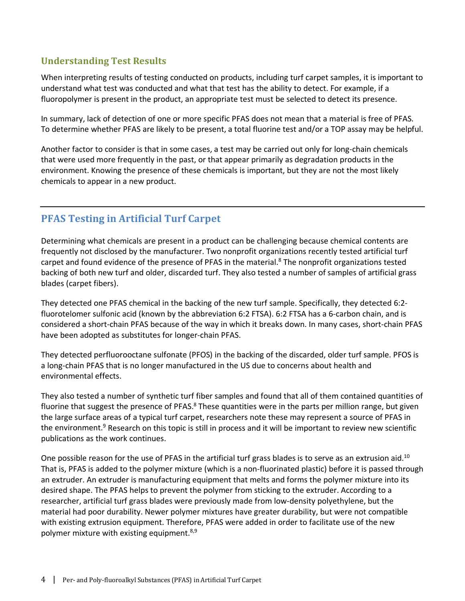## **Understanding Test Results**

When interpreting results of testing conducted on products, including turf carpet samples, it is important to understand what test was conducted and what that test has the ability to detect. For example, if a fluoropolymer is present in the product, an appropriate test must be selected to detect its presence.

In summary, lack of detection of one or more specific PFAS does not mean that a material is free of PFAS. To determine whether PFAS are likely to be present, a total fluorine test and/or a TOP assay may be helpful.

Another factor to consider is that in some cases, a test may be carried out only for long-chain chemicals that were used more frequently in the past, or that appear primarily as degradation products in the environment. Knowing the presence of these chemicals is important, but they are not the most likely chemicals to appear in a new product.

# **PFAS Testing in Artificial Turf Carpet**

Determining what chemicals are present in a product can be challenging because chemical contents are frequently not disclosed by the manufacturer. Two nonprofit organizations recently tested artificial turf carpet and found evidence of the presence of PFAS in the material.<sup>8</sup> The nonprofit organizations tested backing of both new turf and older, discarded turf. They also tested a number of samples of artificial grass blades (carpet fibers).

They detected one PFAS chemical in the backing of the new turf sample. Specifically, they detected 6:2 fluorotelomer sulfonic acid (known by the abbreviation 6:2 FTSA). 6:2 FTSA has a 6-carbon chain, and is considered a short-chain PFAS because of the way in which it breaks down. In many cases, short-chain PFAS have been adopted as substitutes for longer-chain PFAS.

They detected perfluorooctane sulfonate (PFOS) in the backing of the discarded, older turf sample. PFOS is a long-chain PFAS that is no longer manufactured in the US due to concerns about health and environmental effects.

They also tested a number of synthetic turf fiber samples and found that all of them contained quantities of fluorine that suggest the presence of PFAS.<sup>8</sup> These quantities were in the parts per million range, but given the large surface areas of a typical turf carpet, researchers note these may represent a source of PFAS in the environment.<sup>9</sup> Research on this topic is still in process and it will be important to review new scientific publications as the work continues.

One possible reason for the use of PFAS in the artificial turf grass blades is to serve as an extrusion aid.<sup>10</sup> That is, PFAS is added to the polymer mixture (which is a non-fluorinated plastic) before it is passed through an extruder. An extruder is manufacturing equipment that melts and forms the polymer mixture into its desired shape. The PFAS helps to prevent the polymer from sticking to the extruder. According to a researcher, artificial turf grass blades were previously made from low-density polyethylene, but the material had poor durability. Newer polymer mixtures have greater durability, but were not compatible with existing extrusion equipment. Therefore, PFAS were added in order to facilitate use of the new polymer mixture with existing equipment. $8,9$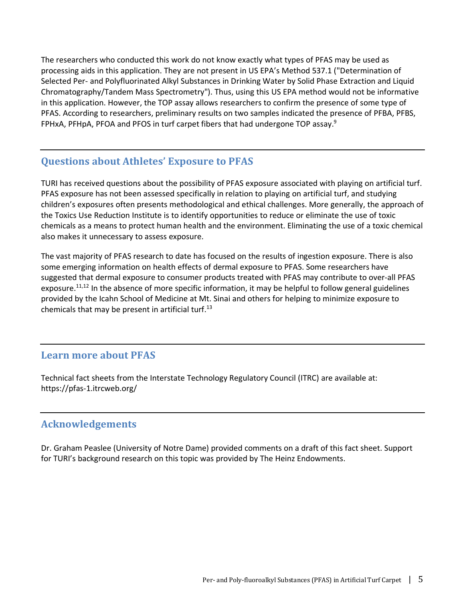The researchers who conducted this work do not know exactly what types of PFAS may be used as processing aids in this application. They are not present in US EPA's Method 537.1 ("Determination of Selected Per- and Polyfluorinated Alkyl Substances in Drinking Water by Solid Phase Extraction and Liquid Chromatography/Tandem Mass Spectrometry"). Thus, using this US EPA method would not be informative in this application. However, the TOP assay allows researchers to confirm the presence of some type of PFAS. According to researchers, preliminary results on two samples indicated the presence of PFBA, PFBS, FPHxA, PFHpA, PFOA and PFOS in turf carpet fibers that had undergone TOP assay.<sup>9</sup>

# **Questions about Athletes' Exposure to PFAS**

TURI has received questions about the possibility of PFAS exposure associated with playing on artificial turf. PFAS exposure has not been assessed specifically in relation to playing on artificial turf, and studying children's exposures often presents methodological and ethical challenges. More generally, the approach of the Toxics Use Reduction Institute is to identify opportunities to reduce or eliminate the use of toxic chemicals as a means to protect human health and the environment. Eliminating the use of a toxic chemical also makes it unnecessary to assess exposure.

The vast majority of PFAS research to date has focused on the results of ingestion exposure. There is also some emerging information on health effects of dermal exposure to PFAS. Some researchers have suggested that dermal exposure to consumer products treated with PFAS may contribute to over-all PFAS exposure.<sup>11,12</sup> In the absence of more specific information, it may be helpful to follow general guidelines provided by the Icahn School of Medicine at Mt. Sinai and others for helping to minimize exposure to chemicals that may be present in artificial turf. $^{13}$ 

## **Learn more about PFAS**

Technical fact sheets from the Interstate Technology Regulatory Council (ITRC) are available at: https://pfas-1.itrcweb.org/

## **Acknowledgements**

Dr. Graham Peaslee (University of Notre Dame) provided comments on a draft of this fact sheet. Support for TURI's background research on this topic was provided by The Heinz Endowments.